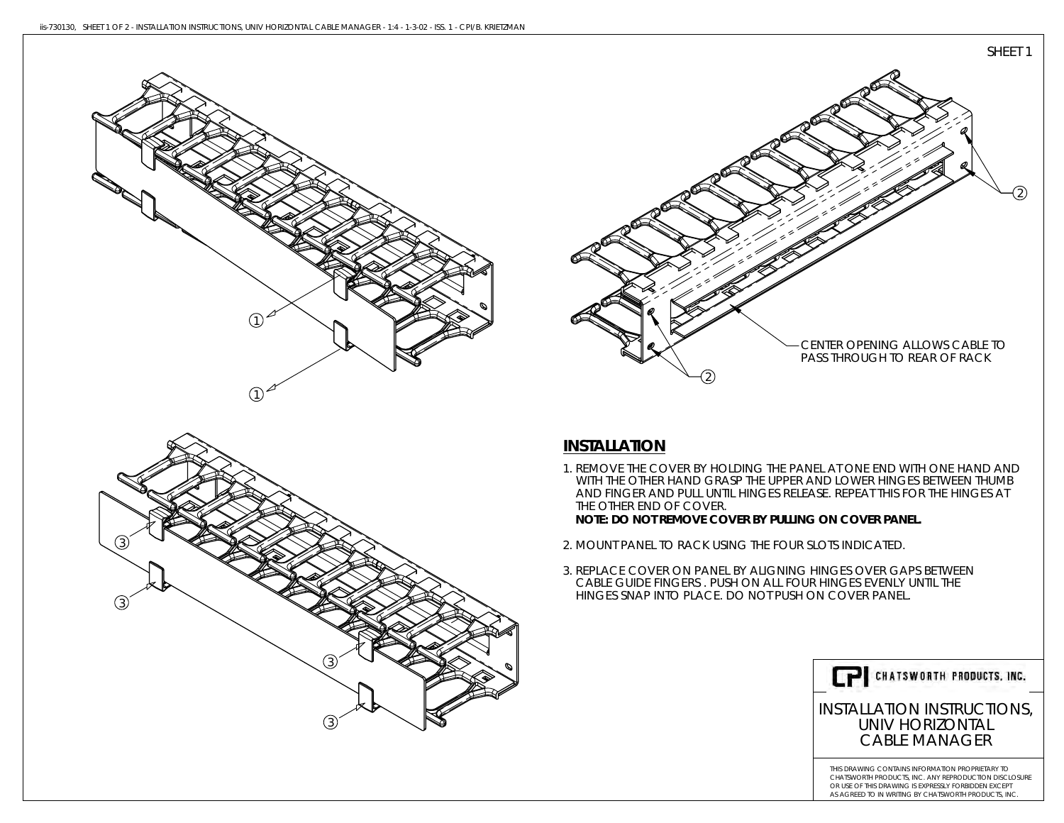3

 $\left( 3 \right)$ 

3

3



# **INSTALLATION**

1. REMOVE THE COVER BY HOLDING THE PANEL AT ONE END WITH ONE HAND AND WITH THE OTHER HAND GRASP THE UPPER AND LOWER HINGES BETWEEN THUMB AND FINGER AND PULL UNTIL HINGES RELEASE. REPEAT THIS FOR THE HINGES AT THE OTHER END OF COVER.

**NOTE: DO NOT REMOVE COVER BY PULLING ON COVER PANEL.**

- 2. MOUNT PANEL TO RACK USING THE FOUR SLOTS INDICATED.
- 3. REPLACE COVER ON PANEL BY ALIGNING HINGES OVER GAPS BETWEEN CABLE GUIDE FINGERS . PUSH ON ALL FOUR HINGES EVENLY UNTIL THE HINGES SNAP INTO PLACE. DO NOT PUSH ON COVER PANEL.



## INSTALLATION INSTRUCTIONS, UNIV HORIZONTALCABLE MANAGER

THIS DRAWING CONTAINS INFORMATION PROPRIETARY TO CHATSWORTH PRODUCTS, INC. ANY REPRODUCTION DISCLOSURE OR USE OF THIS DRAWING IS EXPRESSLY FORBIDDEN EXCEPTAS AGREED TO IN WRITING BY CHATSWORTH PRODUCTS, INC.